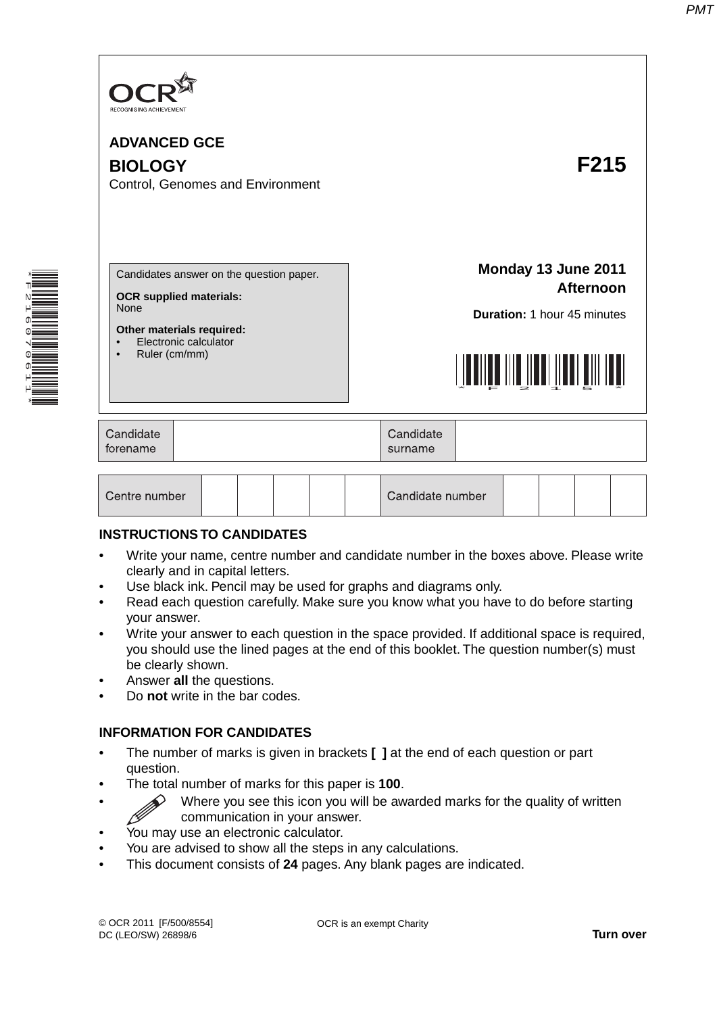

\*F216070611\*

**The Contract of the Contract of the Contract of the Contract of the Contract of the Contract of The Contract o** 

| <b>ADVANCED GCE</b><br><b>BIOLOGY</b><br>Control, Genomes and Environment                                                                                 | F215                                                                                                         |
|-----------------------------------------------------------------------------------------------------------------------------------------------------------|--------------------------------------------------------------------------------------------------------------|
| Candidates answer on the question paper.<br><b>OCR supplied materials:</b><br>None<br>Other materials required:<br>Electronic calculator<br>Ruler (cm/mm) | Monday 13 June 2011<br><b>Afternoon</b><br>Duration: 1 hour 45 minutes<br><u>LITTIITTIINTIINTIINTIINTIIN</u> |
| Candidate<br>forename                                                                                                                                     | Candidate<br>surname                                                                                         |
| Centre number                                                                                                                                             | Candidate number                                                                                             |

#### **INSTRUCTIONS TO CANDIDATES**

- Write your name, centre number and candidate number in the boxes above. Please write clearly and in capital letters.
- Use black ink. Pencil may be used for graphs and diagrams only.
- Read each question carefully. Make sure you know what you have to do before starting your answer.
- Write your answer to each question in the space provided. If additional space is required, you should use the lined pages at the end of this booklet. The question number(s) must be clearly shown.
- Answer **all** the questions.
- Do **not** write in the bar codes.

#### **INFORMATION FOR CANDIDATES**

- The number of marks is given in brackets **[ ]** at the end of each question or part question.
- The total number of marks for this paper is **100**.
- $\diamondsuit$  Where you see this icon you will be awarded marks for the quality of written communication in your answer.
- You may use an electronic calculator.
- You are advised to show all the steps in any calculations.
- This document consists of **24** pages. Any blank pages are indicated.

OCR is an exempt Charity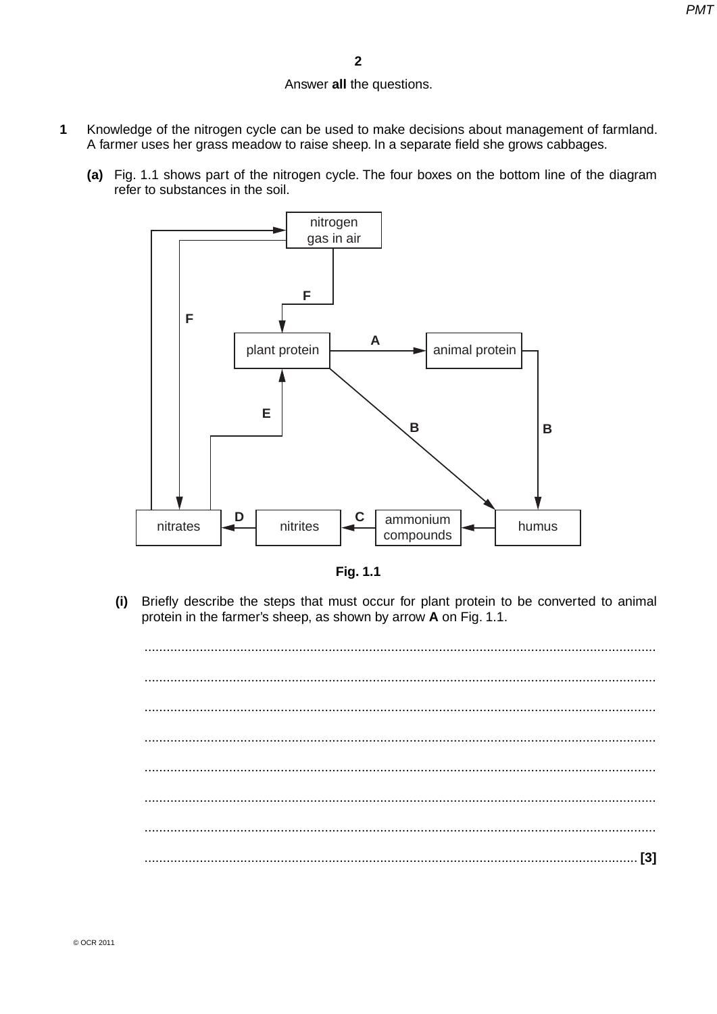## Answer **all** the questions.

- **1** Knowledge of the nitrogen cycle can be used to make decisions about management of farmland. A farmer uses her grass meadow to raise sheep. In a separate field she grows cabbages.
	- **(a)** Fig. 1.1 shows part of the nitrogen cycle. The four boxes on the bottom line of the diagram refer to substances in the soil.





 **(i)** Briefly describe the steps that must occur for plant protein to be converted to animal protein in the farmer's sheep, as shown by arrow **A** on Fig. 1.1.

 ........................................................................................................................................... ........................................................................................................................................... ........................................................................................................................................... ........................................................................................................................................... ........................................................................................................................................... ........................................................................................................................................... ........................................................................................................................................... ...................................................................................................................................... **[3]**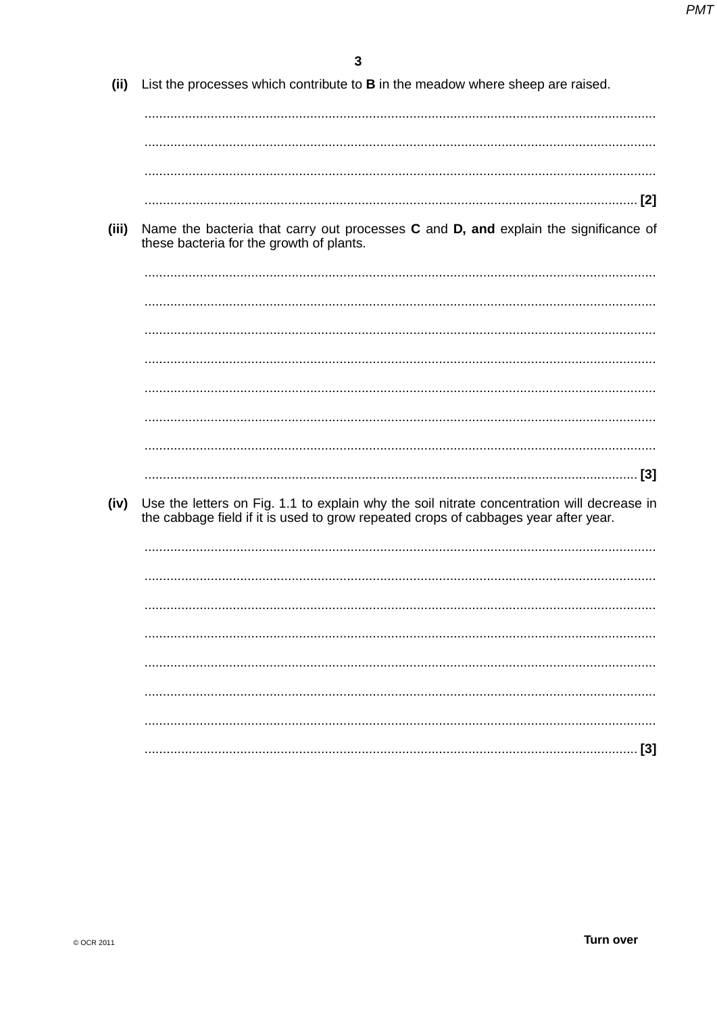| (ii)  | List the processes which contribute to <b>B</b> in the meadow where sheep are raised.                                                                                             |
|-------|-----------------------------------------------------------------------------------------------------------------------------------------------------------------------------------|
|       |                                                                                                                                                                                   |
|       |                                                                                                                                                                                   |
|       |                                                                                                                                                                                   |
| (iii) | Name the bacteria that carry out processes C and D, and explain the significance of<br>these bacteria for the growth of plants.                                                   |
|       |                                                                                                                                                                                   |
|       |                                                                                                                                                                                   |
|       |                                                                                                                                                                                   |
|       |                                                                                                                                                                                   |
|       |                                                                                                                                                                                   |
|       |                                                                                                                                                                                   |
| (iv)  | Use the letters on Fig. 1.1 to explain why the soil nitrate concentration will decrease in<br>the cabbage field if it is used to grow repeated crops of cabbages year after year. |
|       |                                                                                                                                                                                   |
|       |                                                                                                                                                                                   |
|       |                                                                                                                                                                                   |
|       |                                                                                                                                                                                   |
|       |                                                                                                                                                                                   |
|       |                                                                                                                                                                                   |
|       | $[3]$                                                                                                                                                                             |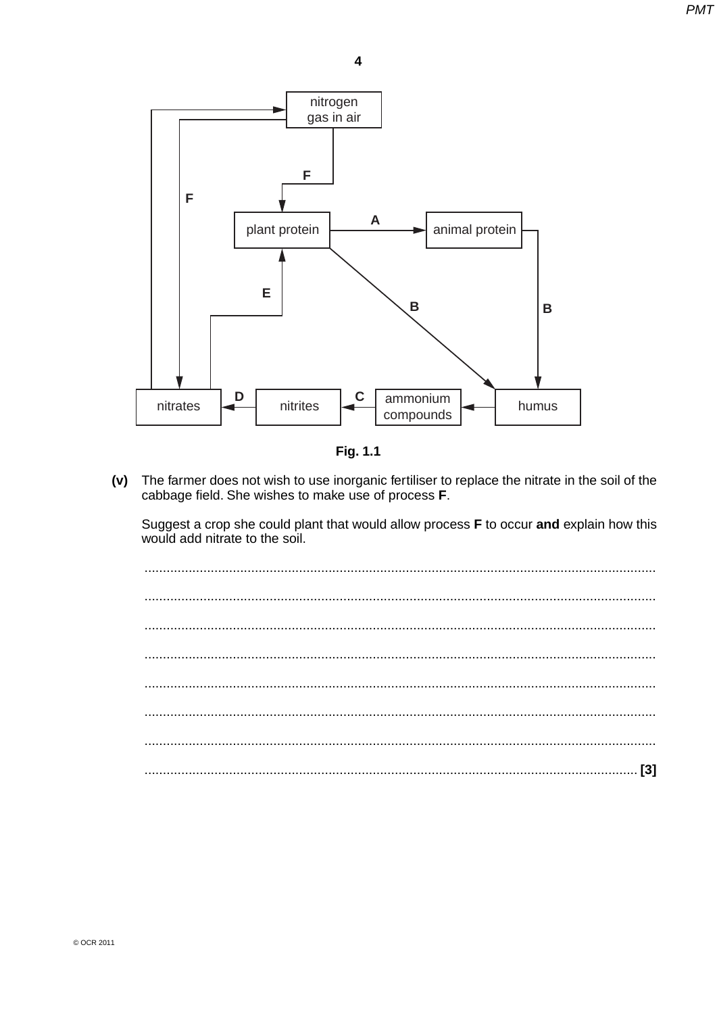

Fig. 1.1

 $(v)$ The farmer does not wish to use inorganic fertiliser to replace the nitrate in the soil of the cabbage field. She wishes to make use of process F.

Suggest a crop she could plant that would allow process F to occur and explain how this would add nitrate to the soil.

 $\ddotsc$  $\ddotsc$  $\sim$   $\sim$   $\sim$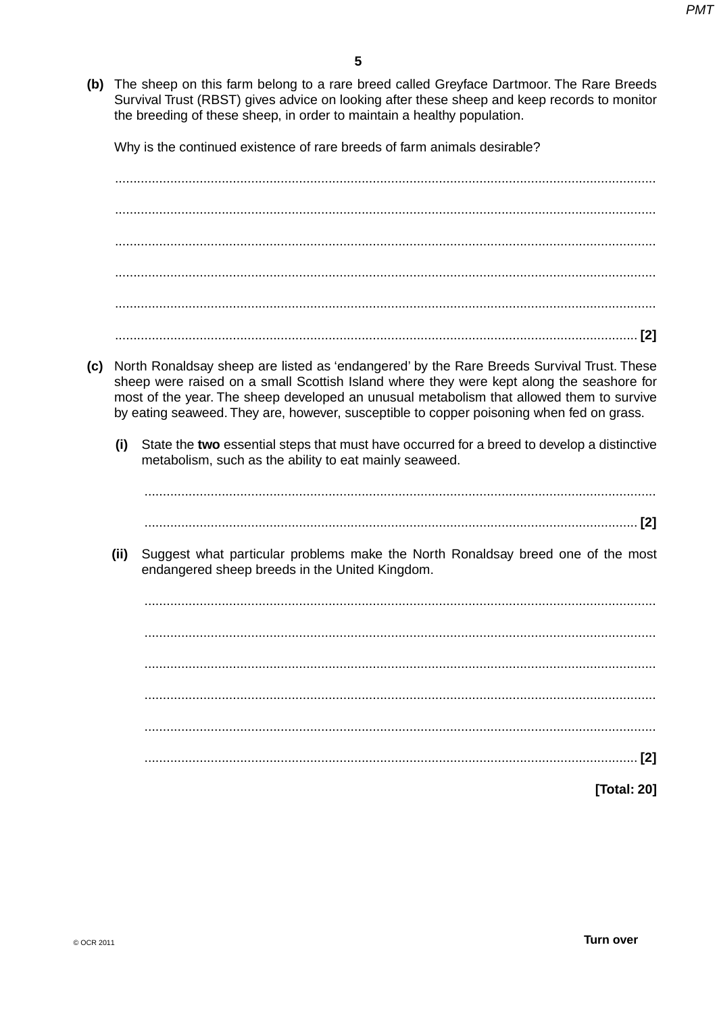(b) The sheep on this farm belong to a rare breed called Greyface Dartmoor. The Rare Breeds Survival Trust (RBST) gives advice on looking after these sheep and keep records to monitor the breeding of these sheep, in order to maintain a healthy population.

Why is the continued existence of rare breeds of farm animals desirable?

- (c) North Ronaldsay sheep are listed as 'endangered' by the Rare Breeds Survival Trust. These sheep were raised on a small Scottish Island where they were kept along the seashore for most of the year. The sheep developed an unusual metabolism that allowed them to survive by eating seaweed. They are, however, susceptible to copper poisoning when fed on grass.
	- State the two essential steps that must have occurred for a breed to develop a distinctive  $(i)$ metabolism, such as the ability to eat mainly seaweed.

 $(ii)$ Suggest what particular problems make the North Ronaldsay breed one of the most endangered sheep breeds in the United Kingdom.

[Total: 20]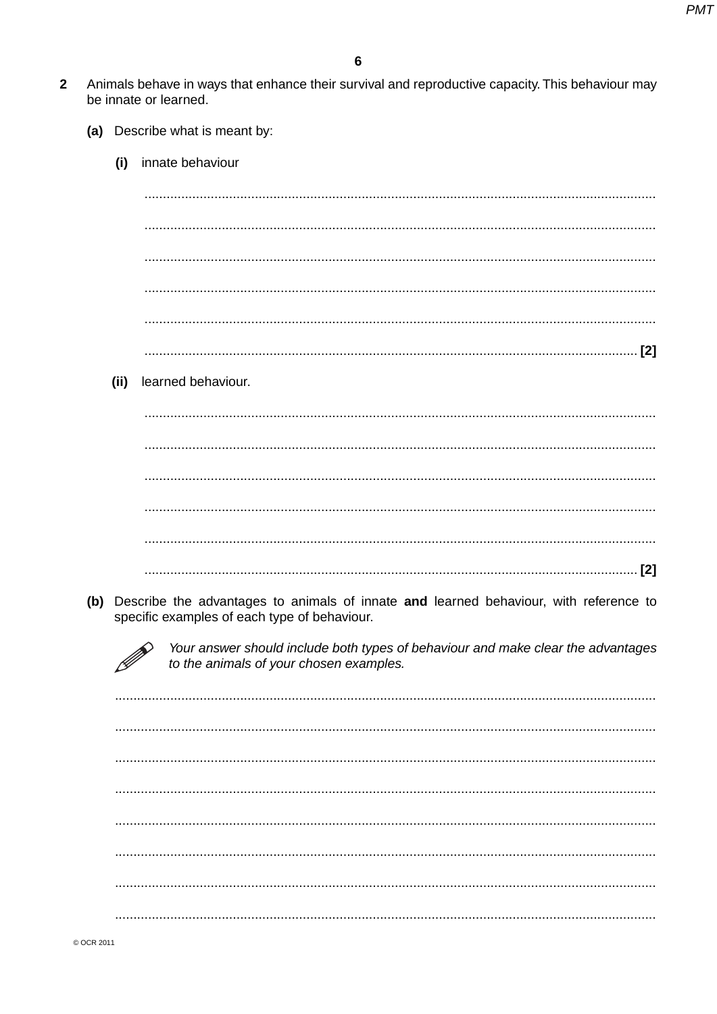- $\overline{2}$ Animals behave in ways that enhance their survival and reproductive capacity. This behaviour may be innate or learned.
	- (a) Describe what is meant by:
		- innate behaviour  $(i)$

 $(i)$ learned behaviour.

(b) Describe the advantages to animals of innate and learned behaviour, with reference to specific examples of each type of behaviour.

> Your answer should include both types of behaviour and make clear the advantages to the animals of your chosen examples.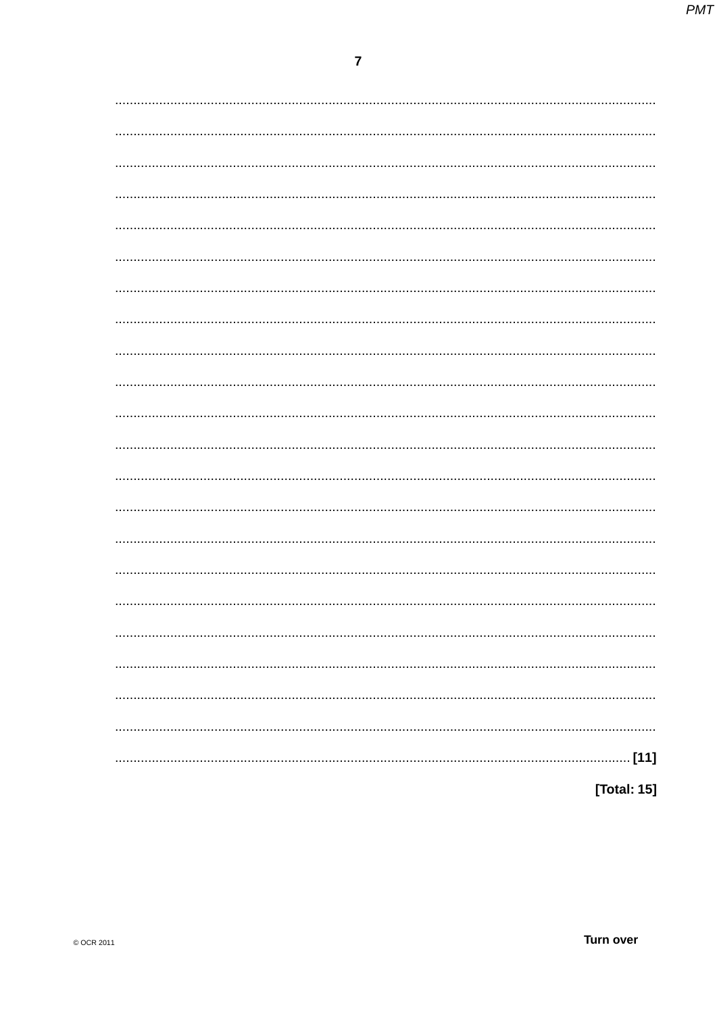| [Total: 15] |
|-------------|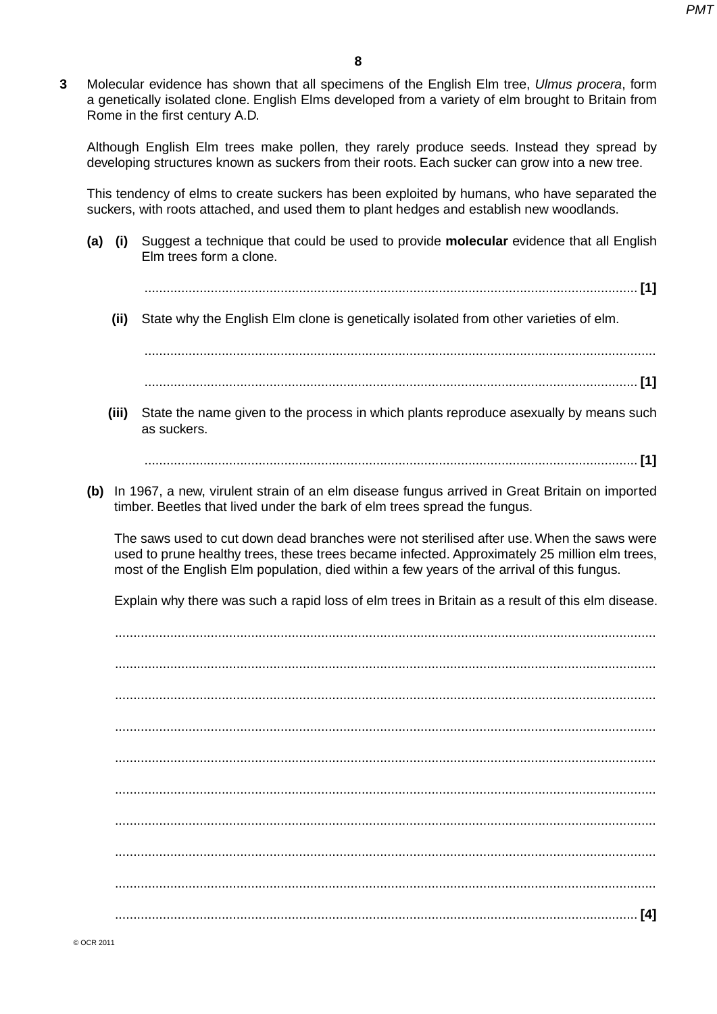**3** Molecular evidence has shown that all specimens of the English Elm tree, *Ulmus procera*, form a genetically isolated clone. English Elms developed from a variety of elm brought to Britain from Rome in the first century A.D.

Although English Elm trees make pollen, they rarely produce seeds. Instead they spread by developing structures known as suckers from their roots. Each sucker can grow into a new tree.

This tendency of elms to create suckers has been exploited by humans, who have separated the suckers, with roots attached, and used them to plant hedges and establish new woodlands.

 **(a) (i)** Suggest a technique that could be used to provide **molecular** evidence that all English Elm trees form a clone.

...................................................................................................................................... **[1]**

 **(ii)** State why the English Elm clone is genetically isolated from other varieties of elm.

 ........................................................................................................................................... ...................................................................................................................................... **[1]**

 **(iii)** State the name given to the process in which plants reproduce asexually by means such as suckers.

...................................................................................................................................... **[1]**

 **(b)** In 1967, a new, virulent strain of an elm disease fungus arrived in Great Britain on imported timber. Beetles that lived under the bark of elm trees spread the fungus.

The saws used to cut down dead branches were not sterilised after use. When the saws were used to prune healthy trees, these trees became infected. Approximately 25 million elm trees, most of the English Elm population, died within a few years of the arrival of this fungus.

Explain why there was such a rapid loss of elm trees in Britain as a result of this elm disease.

...................................................................................................................................................

 ................................................................................................................................................... ................................................................................................................................................... ................................................................................................................................................... ................................................................................................................................................... ................................................................................................................................................... ................................................................................................................................................... ................................................................................................................................................... ................................................................................................................................................... .............................................................................................................................................. **[4]**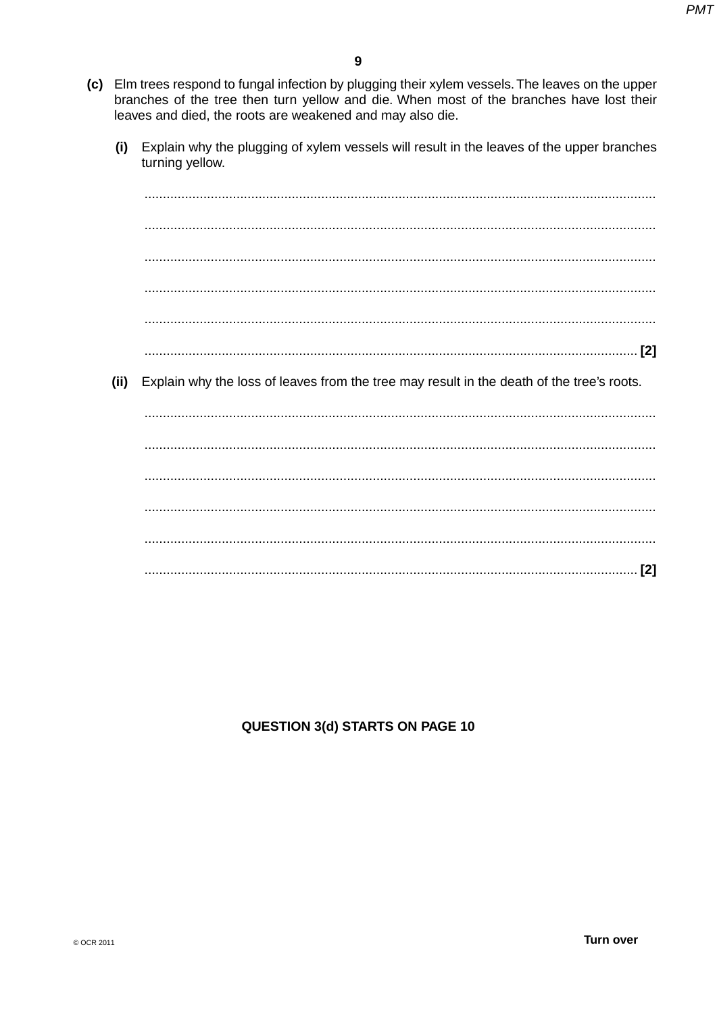- (c) Elm trees respond to fungal infection by plugging their xylem vessels. The leaves on the upper branches of the tree then turn yellow and die. When most of the branches have lost their leaves and died, the roots are weakened and may also die.
	- Explain why the plugging of xylem vessels will result in the leaves of the upper branches  $(i)$ turning yellow.

 $(ii)$ Explain why the loss of leaves from the tree may result in the death of the tree's roots.

# **QUESTION 3(d) STARTS ON PAGE 10**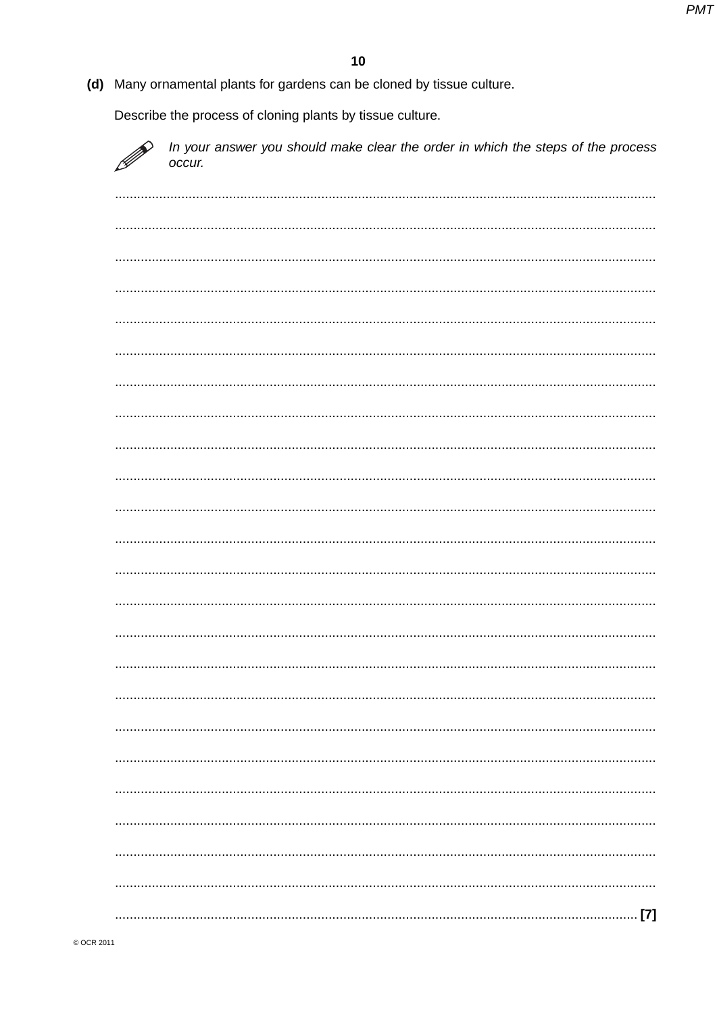(d) Many ornamental plants for gardens can be cloned by tissue culture.

Describe the process of cloning plants by tissue culture.

D

In your answer you should make clear the order in which the steps of the process occur.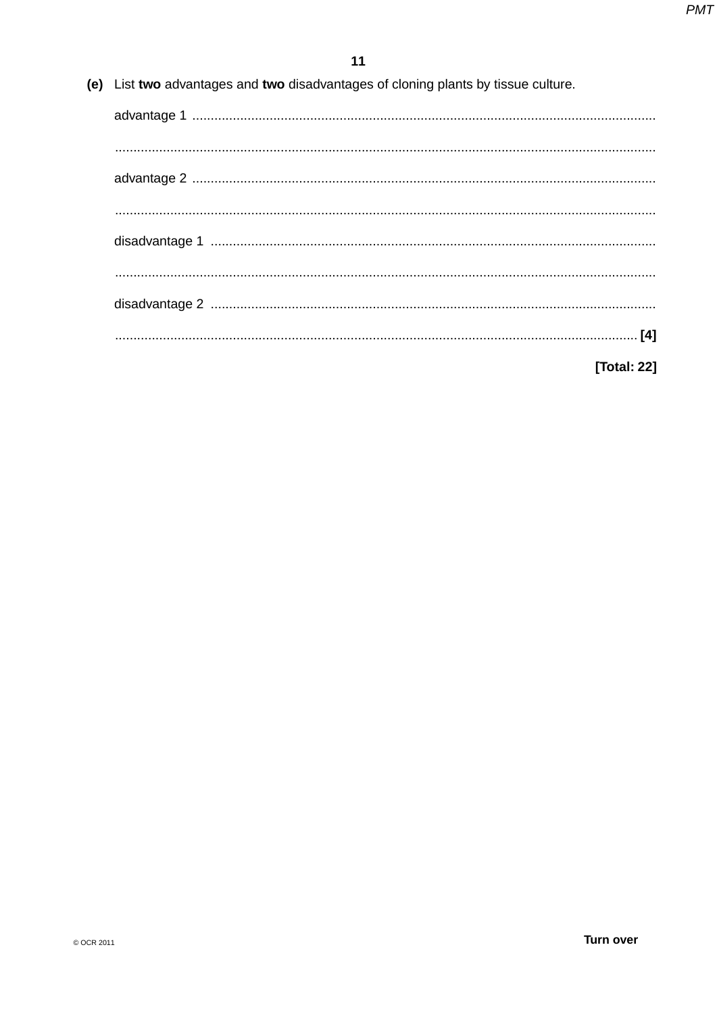(e) List two advantages and two disadvantages of cloning plants by tissue culture.

| <b>Total: 221</b> |
|-------------------|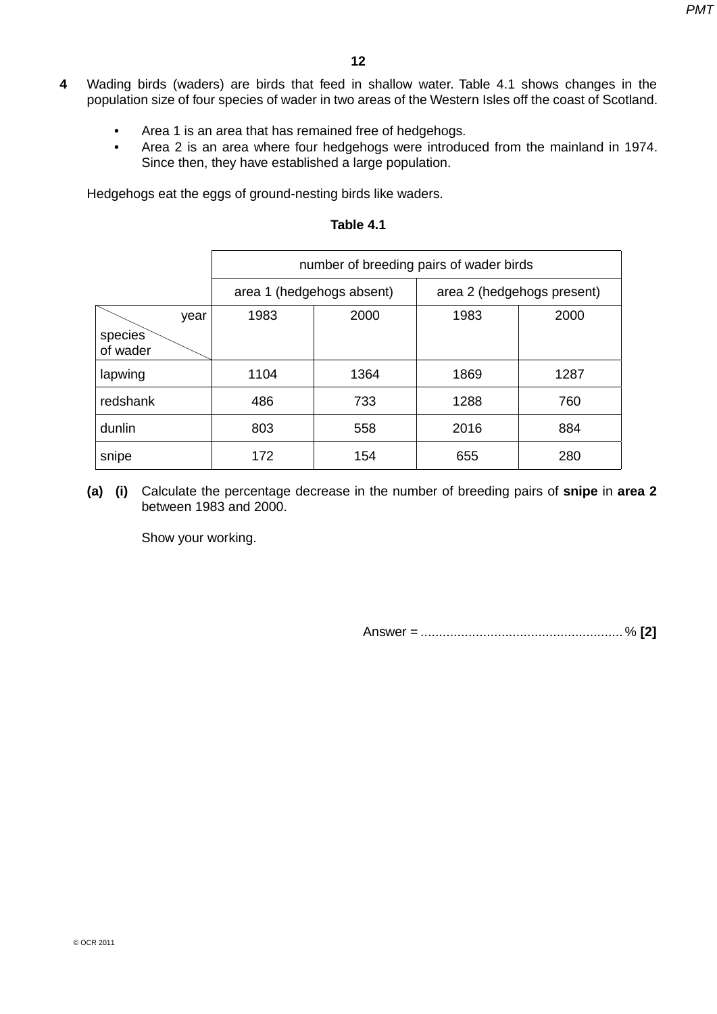- **4** Wading birds (waders) are birds that feed in shallow water. Table 4.1 shows changes in the population size of four species of wader in two areas of the Western Isles off the coast of Scotland.
	- Area 1 is an area that has remained free of hedgehogs.
	- Area 2 is an area where four hedgehogs were introduced from the mainland in 1974. Since then, they have established a large population.

Hedgehogs eat the eggs of ground-nesting birds like waders.

|                             | number of breeding pairs of wader birds |      |                            |      |  |
|-----------------------------|-----------------------------------------|------|----------------------------|------|--|
|                             | area 1 (hedgehogs absent)               |      | area 2 (hedgehogs present) |      |  |
| year<br>species<br>of wader | 1983                                    | 2000 | 1983                       | 2000 |  |
| lapwing                     | 1104                                    | 1364 | 1869                       | 1287 |  |
| redshank                    | 486                                     | 733  | 1288                       | 760  |  |
| dunlin                      | 803                                     | 558  | 2016                       | 884  |  |
| snipe                       | 172                                     | 154  | 655                        | 280  |  |

### **Table 4.1**

 **(a) (i)** Calculate the percentage decrease in the number of breeding pairs of **snipe** in **area 2** between 1983 and 2000.

Show your working.

Answer = ....................................................... % **[2]**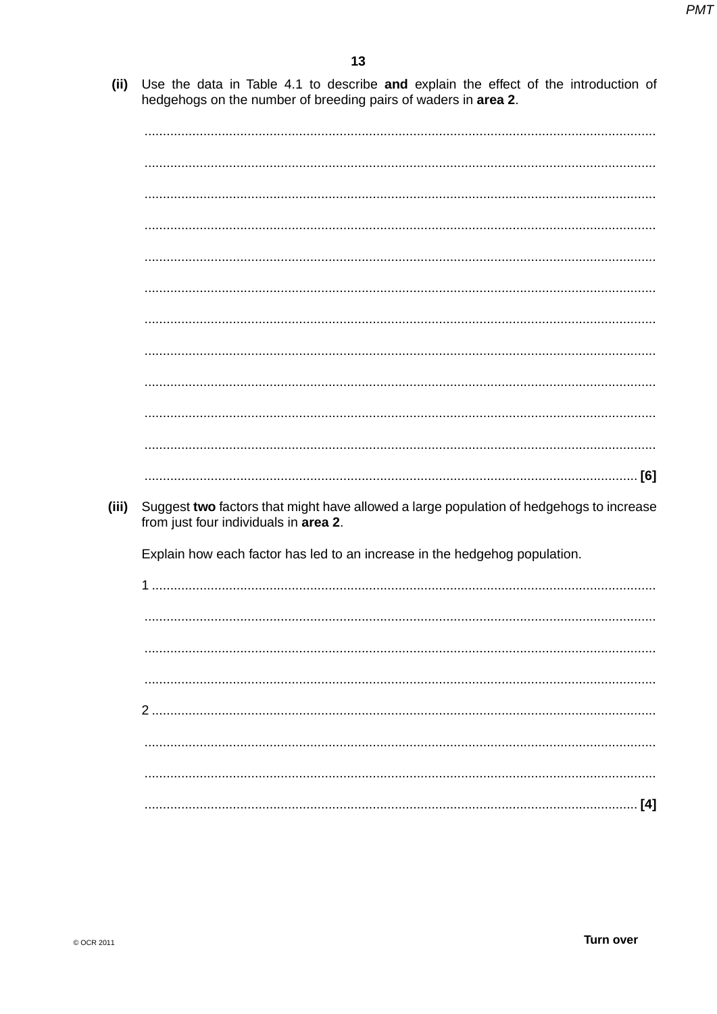(ii) Use the data in Table 4.1 to describe and explain the effect of the introduction of hedgehogs on the number of breeding pairs of waders in area 2.

| (iii) | Suggest two factors that might have allowed a large population of hedgehogs to increase<br>from just four individuals in area 2. |  |
|-------|----------------------------------------------------------------------------------------------------------------------------------|--|
|       | Explain how each factor has led to an increase in the hedgehog population.                                                       |  |
|       |                                                                                                                                  |  |
|       |                                                                                                                                  |  |
|       |                                                                                                                                  |  |
|       |                                                                                                                                  |  |
|       | 2                                                                                                                                |  |
|       |                                                                                                                                  |  |
|       |                                                                                                                                  |  |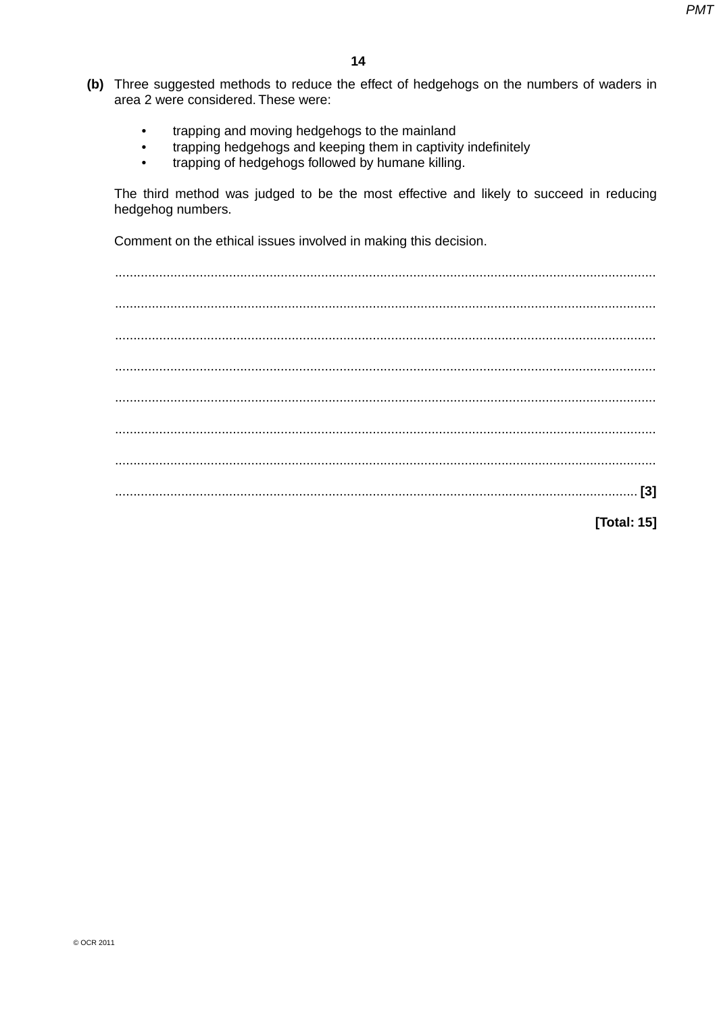- (b) Three suggested methods to reduce the effect of hedgehogs on the numbers of waders in area 2 were considered. These were:
	- trapping and moving hedgehogs to the mainland  $\ddot{\phantom{1}}$
	- trapping hedgehogs and keeping them in captivity indefinitely  $\bullet$
	- trapping of hedgehogs followed by humane killing.

The third method was judged to be the most effective and likely to succeed in reducing hedgehog numbers.

Comment on the ethical issues involved in making this decision.

[Total: 15]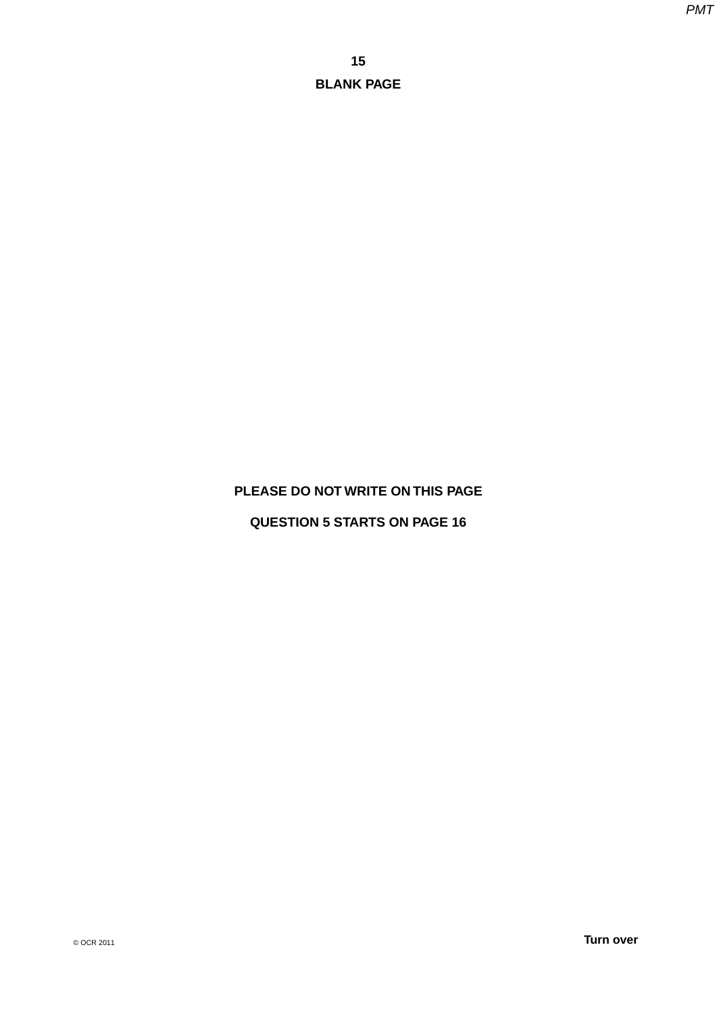#### **PLEASE DO NOT WRITE ON THIS PAGE**

# **QUESTION 5 STARTS ON PAGE 16**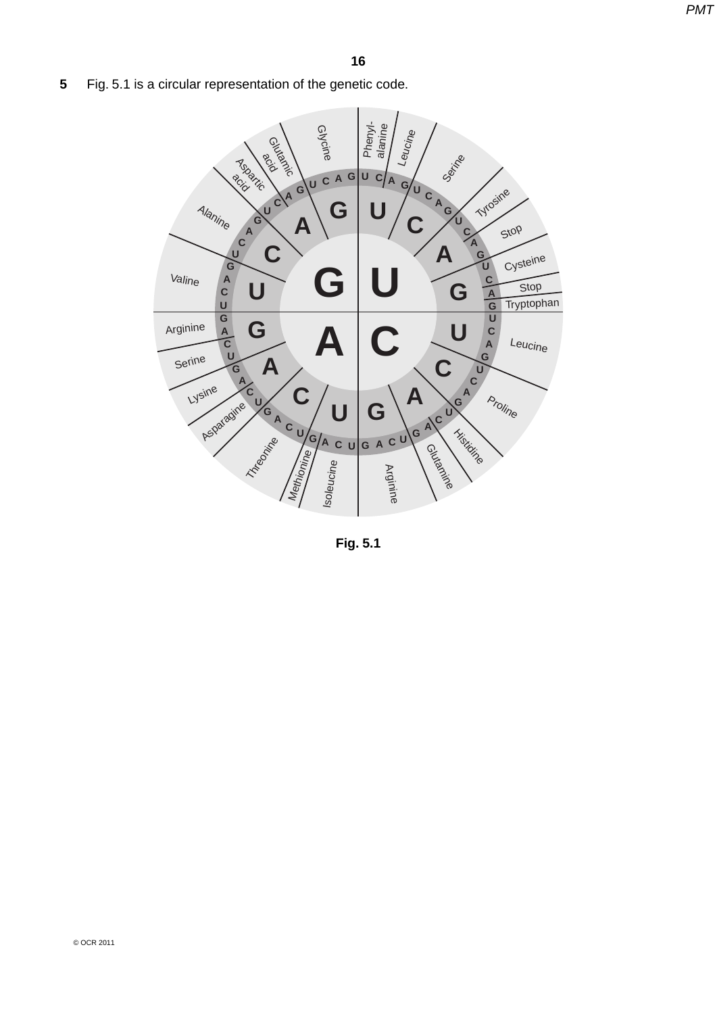**5** Fig. 5.1 is a circular representation of the genetic code.



**Fig. 5.1**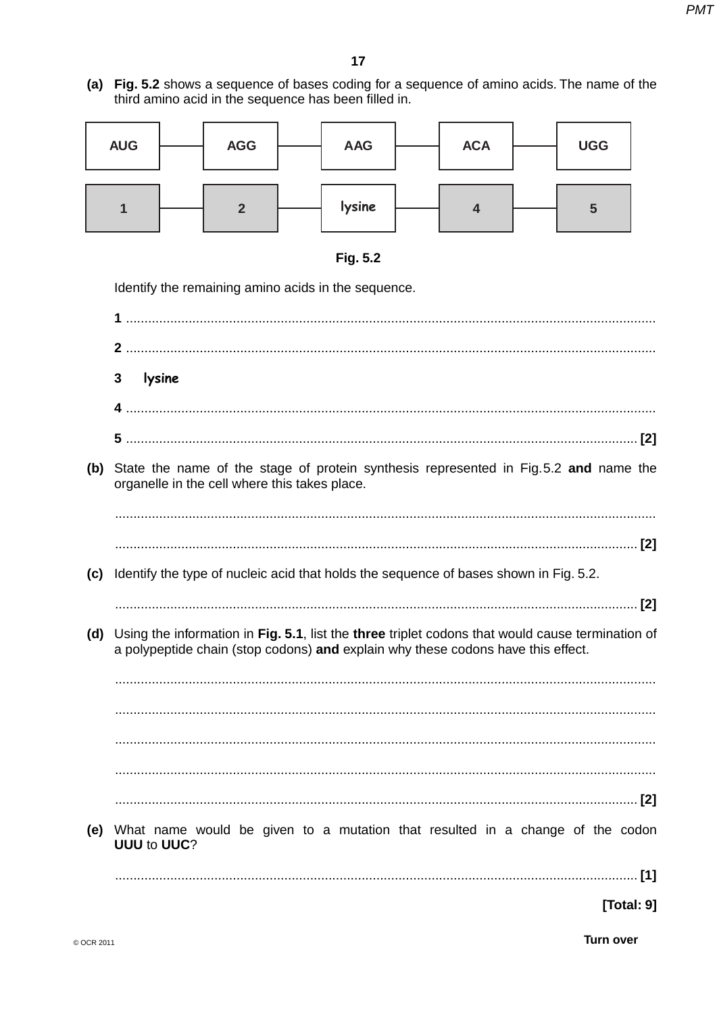(a) Fig. 5.2 shows a sequence of bases coding for a sequence of amino acids. The name of the third amino acid in the sequence has been filled in.

| <b>AUG</b> | <b>AGG</b> | <b>AAG</b> | <b>ACA</b> | <b>UGG</b> |
|------------|------------|------------|------------|------------|
|            | 0          | lysine     |            | 5          |



Identify the remaining amino acids in the sequence.

 $\overline{3}$ lysine (b) State the name of the stage of protein synthesis represented in Fig. 5.2 and name the organelle in the cell where this takes place. (c) Identify the type of nucleic acid that holds the sequence of bases shown in Fig. 5.2. (d) Using the information in Fig. 5.1, list the three triplet codons that would cause termination of a polypeptide chain (stop codons) and explain why these codons have this effect. (e) What name would be given to a mutation that resulted in a change of the codon **UUU to UUC?** [Total: 9]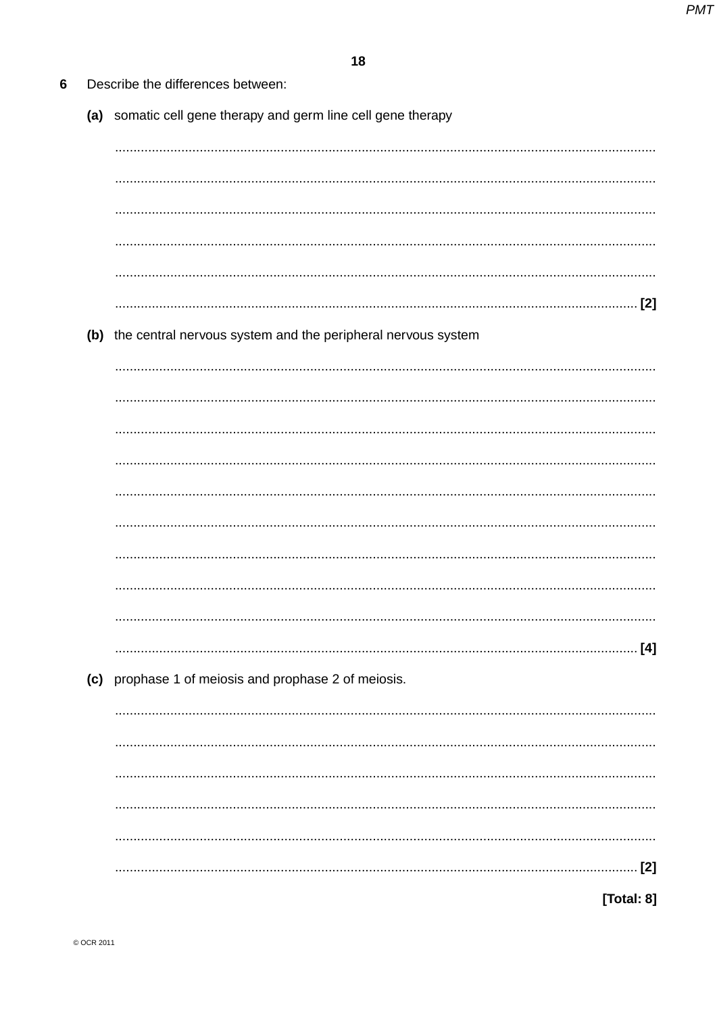| 6 | Describe the differences between:                                |
|---|------------------------------------------------------------------|
|   | (a) somatic cell gene therapy and germ line cell gene therapy    |
|   |                                                                  |
|   |                                                                  |
|   |                                                                  |
|   |                                                                  |
|   |                                                                  |
|   |                                                                  |
|   | (b) the central nervous system and the peripheral nervous system |
|   |                                                                  |
|   |                                                                  |
|   |                                                                  |
|   |                                                                  |
|   |                                                                  |
|   |                                                                  |
|   |                                                                  |
|   |                                                                  |
|   |                                                                  |
|   | (c) prophase 1 of meiosis and prophase 2 of meiosis.             |
|   |                                                                  |
|   |                                                                  |
|   |                                                                  |
|   |                                                                  |
|   | $[2]$                                                            |
|   | [Total: 8]                                                       |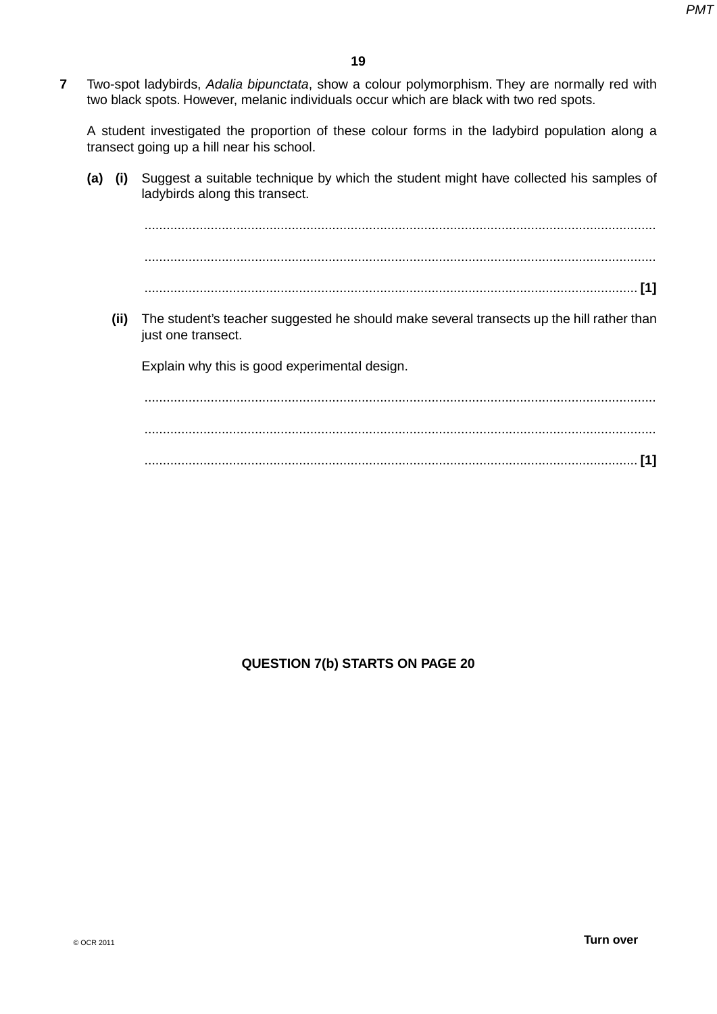**7** Two-spot ladybirds, *Adalia bipunctata*, show a colour polymorphism. They are normally red with two black spots. However, melanic individuals occur which are black with two red spots.

A student investigated the proportion of these colour forms in the ladybird population along a transect going up a hill near his school.

 **(a) (i)** Suggest a suitable technique by which the student might have collected his samples of ladybirds along this transect.

 ........................................................................................................................................... ........................................................................................................................................... ...................................................................................................................................... **[1]**

 **(ii)** The student's teacher suggested he should make several transects up the hill rather than just one transect.

Explain why this is good experimental design.

 ........................................................................................................................................... ........................................................................................................................................... ...................................................................................................................................... **[1]**

## **QUESTION 7(b) STARTS ON PAGE 20**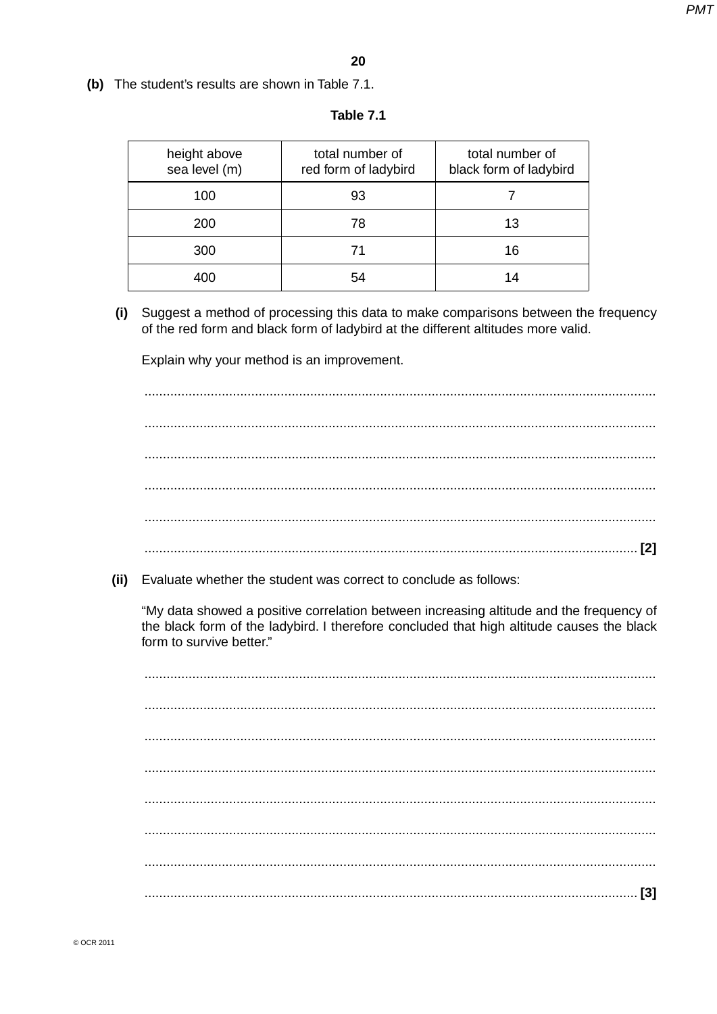(b) The student's results are shown in Table 7.1.

| height above<br>sea level (m) | total number of<br>red form of ladybird | total number of<br>black form of ladybird |
|-------------------------------|-----------------------------------------|-------------------------------------------|
| 100                           | 93                                      |                                           |
| 200                           | 78                                      | 13                                        |
| 300                           |                                         | 16                                        |
|                               |                                         |                                           |

#### Table 7.1

Suggest a method of processing this data to make comparisons between the frequency  $(i)$ of the red form and black form of ladybird at the different altitudes more valid.

Explain why your method is an improvement.

(ii) Evaluate whether the student was correct to conclude as follows:

"My data showed a positive correlation between increasing altitude and the frequency of the black form of the ladybird. I therefore concluded that high altitude causes the black form to survive better."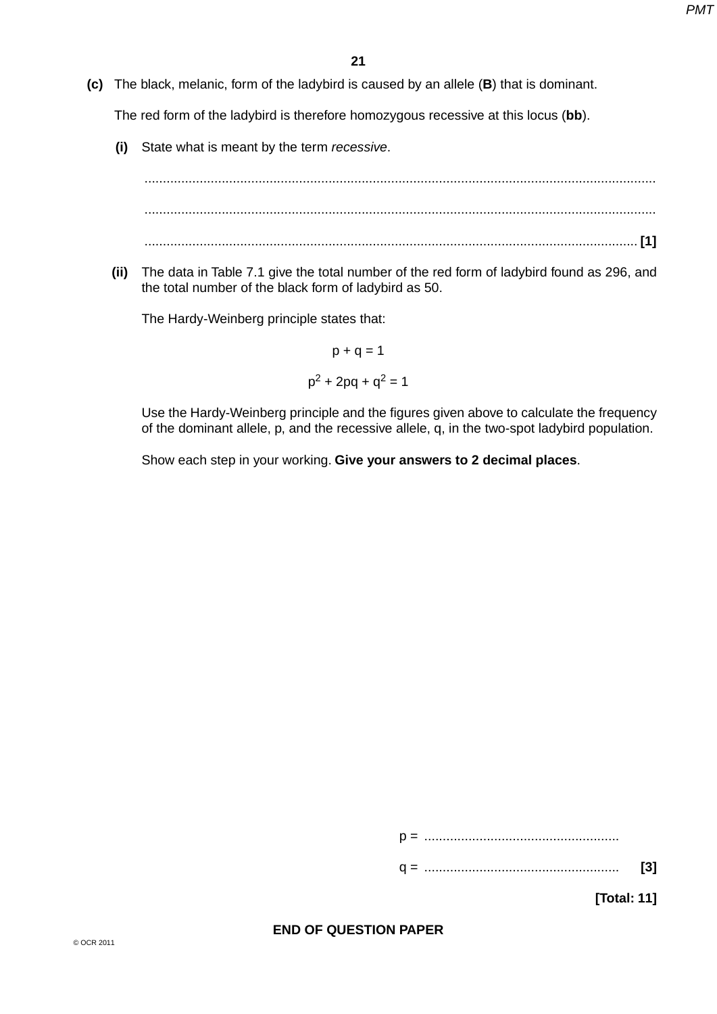**(c)** The black, melanic, form of the ladybird is caused by an allele (**B**) that is dominant.

The red form of the ladybird is therefore homozygous recessive at this locus (**bb**).

 **(i)** State what is meant by the term *recessive*.

 ........................................................................................................................................... ........................................................................................................................................... ...................................................................................................................................... **[1]**

 **(ii)** The data in Table 7.1 give the total number of the red form of ladybird found as 296, and the total number of the black form of ladybird as 50.

The Hardy-Weinberg principle states that:

$$
p + q = 1
$$

$$
p2 + 2pq + q2 = 1
$$

Use the Hardy-Weinberg principle and the figures given above to calculate the frequency of the dominant allele, p, and the recessive allele, q, in the two-spot ladybird population.

Show each step in your working. **Give your answers to 2 decimal places**.

p = .....................................................

**[Total: 11]**

#### **END OF QUESTION PAPER**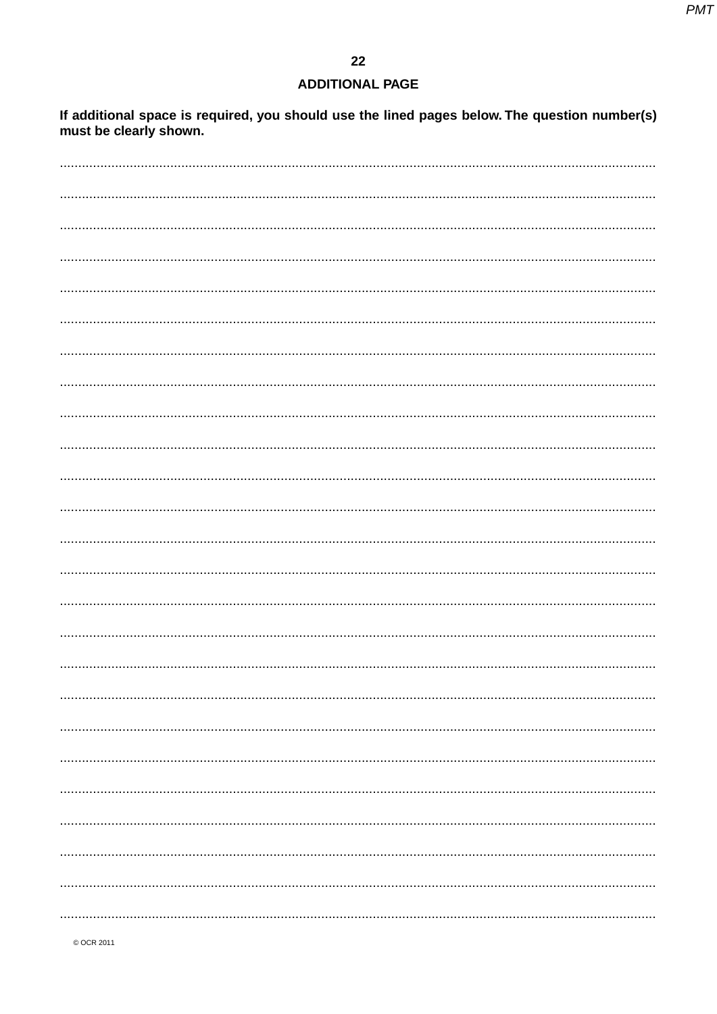# **ADDITIONAL PAGE**

If additional space is required, you should use the lined pages below. The question number(s)<br>must be clearly shown.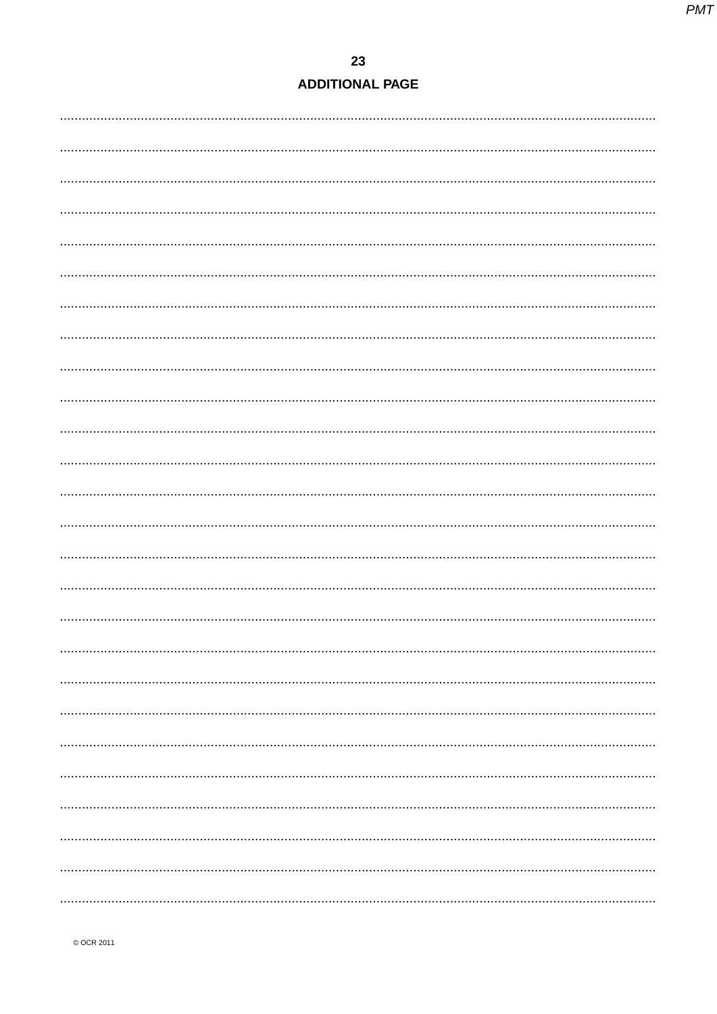# 23 **ADDITIONAL PAGE**